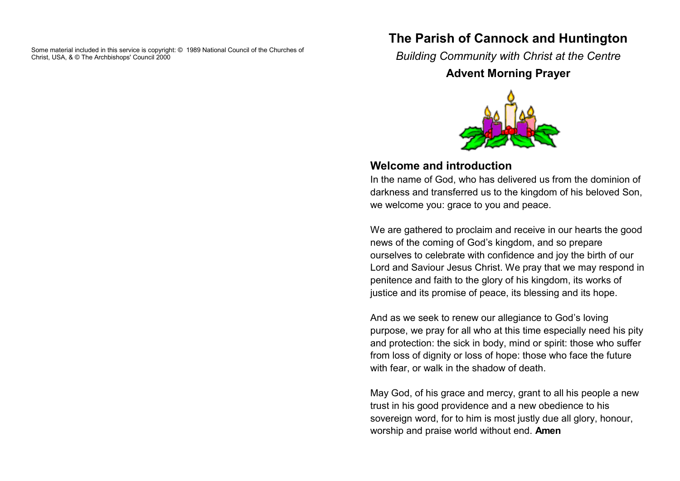Some material included in this service is copyright: © 1989 National Council of the Churches of Christ, USA, & © The Archbishops' Council 2000

### **The Parish of Cannock and Huntington**

*Building Community with Christ at the Centre*

### **Advent Morning Prayer**



#### **Welcome and introduction**

In the name of God, who has delivered us from the dominion of darkness and transferred us to the kingdom of his beloved Son, we welcome you: grace to you and peace.

We are gathered to proclaim and receive in our hearts the good news of the coming of God's kingdom, and so prepare ourselves to celebrate with confidence and joy the birth of our Lord and Saviour Jesus Christ. We pray that we may respond in penitence and faith to the glory of his kingdom, its works of justice and its promise of peace, its blessing and its hope.

And as we seek to renew our allegiance to God's loving purpose, we pray for all who at this time especially need his pity and protection: the sick in body, mind or spirit: those who suffer from loss of dignity or loss of hope: those who face the future with fear, or walk in the shadow of death.

May God, of his grace and mercy, grant to all his people a new trust in his good providence and a new obedience to his sovereign word, for to him is most justly due all glory, honour, worship and praise world without end. **Amen**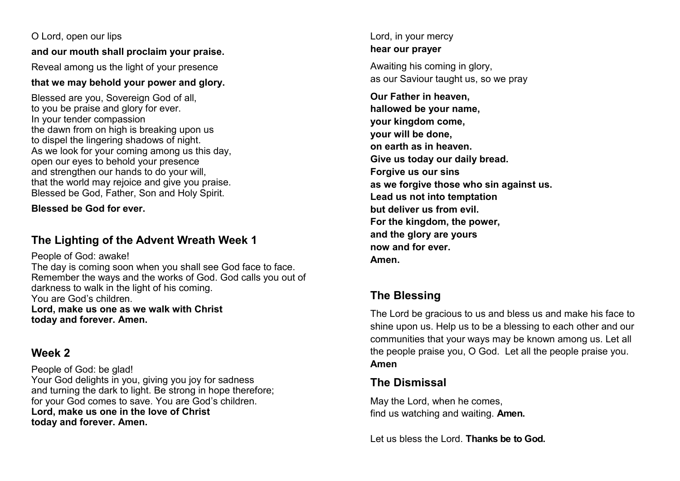O Lord, open our lips **and our mouth shall proclaim your praise.** Reveal among us the light of your presence **that we may behold your power and glory.**

Blessed are you, Sovereign God of all, to you be praise and glory for ever. In your tender compassion the dawn from on high is breaking upon us to dispel the lingering shadows of night. As we look for your coming among us this day, open our eyes to behold your presence and strengthen our hands to do your will, that the world may rejoice and give you praise. Blessed be God, Father, Son and Holy Spirit.

**Blessed be God for ever.**

### **The Lighting of the Advent Wreath Week 1**

People of God: awake!

The day is coming soon when you shall see God face to face. Remember the ways and the works of God. God calls you out of darkness to walk in the light of his coming. You are God's children. **Lord, make us one as we walk with Christ today and forever. Amen.**

# **Week 2**

People of God: be glad! Your God delights in you, giving you joy for sadness and turning the dark to light. Be strong in hope therefore; for your God comes to save. You are God's children. **Lord, make us one in the love of Christ today and forever. Amen.**

Lord, in your mercy **hear our prayer**

Awaiting his coming in glory, as our Saviour taught us, so we pray

**Our Father in heaven, hallowed be your name, your kingdom come, your will be done, on earth as in heaven. Give us today our daily bread. Forgive us our sins as we forgive those who sin against us. Lead us not into temptation but deliver us from evil. For the kingdom, the power, and the glory are yours now and for ever. Amen.**

# **The Blessing**

The Lord be gracious to us and bless us and make his face to shine upon us. Help us to be a blessing to each other and our communities that your ways may be known among us. Let all the people praise you, O God. Let all the people praise you. **Amen**

# **The Dismissal**

May the Lord, when he comes, find us watching and waiting. **Amen.**

Let us bless the Lord. **Thanks be to God.**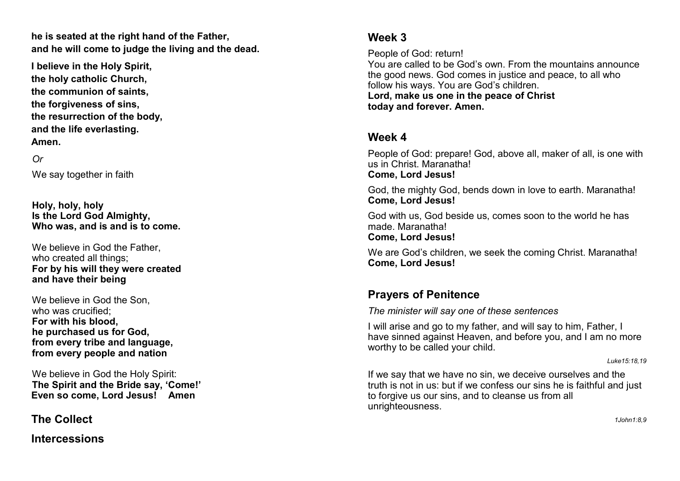**he is seated at the right hand of the Father, and he will come to judge the living and the dead.**

**I believe in the Holy Spirit, the holy catholic Church, the communion of saints, the forgiveness of sins, the resurrection of the body, and the life everlasting. Amen.**

#### *Or*

We say together in faith

**Holy, holy, holy Is the Lord God Almighty, Who was, and is and is to come.**

We believe in God the Father, who created all things; **For by his will they were created and have their being**

We believe in God the Son who was crucified; **For with his blood, he purchased us for God, from every tribe and language, from every people and nation**

We believe in God the Holy Spirit: **The Spirit and the Bride say, 'Come!' Even so come, Lord Jesus! Amen**

**The Collect** 

**Intercessions**

#### **Week 3**

People of God: return!

You are called to be God's own. From the mountains announce the good news. God comes in justice and peace, to all who follow his ways. You are God's children.

**Lord, make us one in the peace of Christ today and forever. Amen.**

#### **Week 4**

People of God: prepare! God, above all, maker of all, is one with us in Christ. Maranatha!

**Come, Lord Jesus!**

God, the mighty God, bends down in love to earth. Maranatha! **Come, Lord Jesus!**

God with us, God beside us, comes soon to the world he has made. Maranatha! **Come, Lord Jesus!**

We are God's children, we seek the coming Christ. Maranatha! **Come, Lord Jesus!**

### **Prayers of Penitence**

*The minister will say one of these sentences*

I will arise and go to my father, and will say to him, Father, I have sinned against Heaven, and before you, and I am no more worthy to be called your child.

*Luke15:18,19*

If we say that we have no sin, we deceive ourselves and the truth is not in us: but if we confess our sins he is faithful and just to forgive us our sins, and to cleanse us from all unrighteousness.

*1John1:8,9*